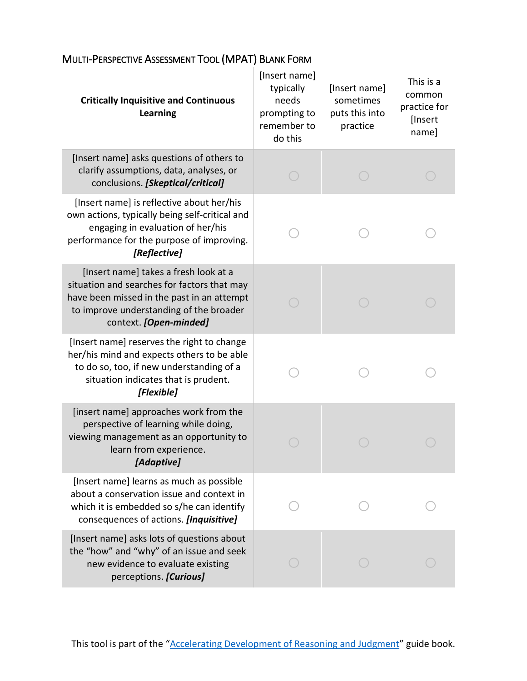| <b>Critically Inquisitive and Continuous</b><br><b>Learning</b>                                                                                                                                         | [Insert name]<br>typically<br>needs<br>prompting to<br>remember to<br>do this | [Insert name]<br>sometimes<br>puts this into<br>practice | This is a<br>common<br>practice for<br>[Insert<br>name] |
|---------------------------------------------------------------------------------------------------------------------------------------------------------------------------------------------------------|-------------------------------------------------------------------------------|----------------------------------------------------------|---------------------------------------------------------|
| [Insert name] asks questions of others to<br>clarify assumptions, data, analyses, or<br>conclusions. [Skeptical/critical]                                                                               |                                                                               |                                                          |                                                         |
| [Insert name] is reflective about her/his<br>own actions, typically being self-critical and<br>engaging in evaluation of her/his<br>performance for the purpose of improving.<br>[Reflective]           |                                                                               |                                                          |                                                         |
| [Insert name] takes a fresh look at a<br>situation and searches for factors that may<br>have been missed in the past in an attempt<br>to improve understanding of the broader<br>context. [Open-minded] |                                                                               |                                                          |                                                         |
| [Insert name] reserves the right to change<br>her/his mind and expects others to be able<br>to do so, too, if new understanding of a<br>situation indicates that is prudent.<br>[Flexible]              |                                                                               |                                                          |                                                         |
| [insert name] approaches work from the<br>perspective of learning while doing,<br>viewing management as an opportunity to<br>learn from experience<br>[Adaptive]                                        |                                                                               |                                                          |                                                         |
| [Insert name] learns as much as possible<br>about a conservation issue and context in<br>which it is embedded so s/he can identify<br>consequences of actions. [Inquisitive]                            |                                                                               |                                                          |                                                         |
| [Insert name] asks lots of questions about<br>the "how" and "why" of an issue and seek<br>new evidence to evaluate existing<br>perceptions. [Curious]                                                   |                                                                               |                                                          |                                                         |

## MULTI-PERSPECTIVE ASSESSMENT TOOL (MPAT) BLANK FORM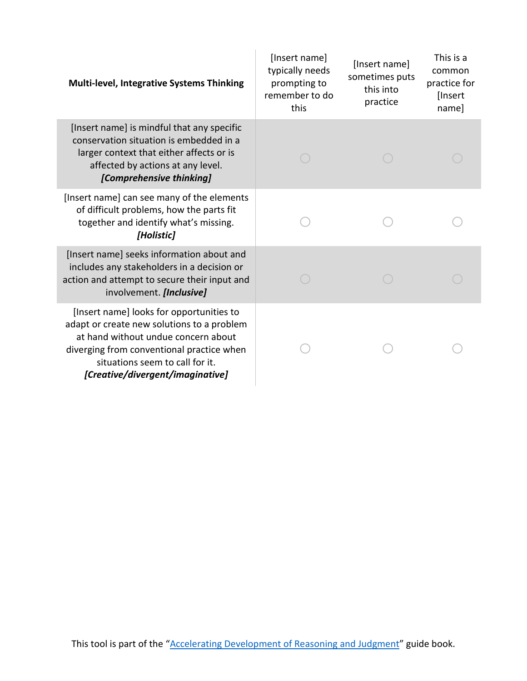| <b>Multi-level, Integrative Systems Thinking</b>                                                                                                                                                                                                  | [Insert name]<br>typically needs<br>prompting to<br>remember to do<br>this | [Insert name]<br>sometimes puts<br>this into<br>practice | This is a<br>common<br>practice for<br>[Insert<br>name] |
|---------------------------------------------------------------------------------------------------------------------------------------------------------------------------------------------------------------------------------------------------|----------------------------------------------------------------------------|----------------------------------------------------------|---------------------------------------------------------|
| [Insert name] is mindful that any specific<br>conservation situation is embedded in a<br>larger context that either affects or is<br>affected by actions at any level.<br>[Comprehensive thinking]                                                |                                                                            |                                                          |                                                         |
| [Insert name] can see many of the elements<br>of difficult problems, how the parts fit<br>together and identify what's missing.<br>[Holistic]                                                                                                     |                                                                            |                                                          |                                                         |
| [Insert name] seeks information about and<br>includes any stakeholders in a decision or<br>action and attempt to secure their input and<br>involvement. [Inclusive]                                                                               |                                                                            |                                                          |                                                         |
| [Insert name] looks for opportunities to<br>adapt or create new solutions to a problem<br>at hand without undue concern about<br>diverging from conventional practice when<br>situations seem to call for it.<br>[Creative/divergent/imaginative] |                                                                            |                                                          |                                                         |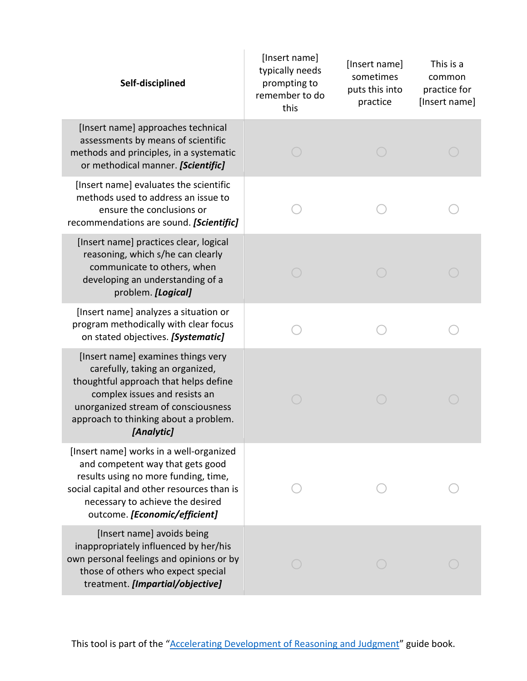|  | Self-disciplined                                                                                                                                                                                                                              | [Insert name]<br>typically needs<br>prompting to<br>remember to do<br>this | [Insert name]<br>sometimes<br>puts this into<br>practice | This is a<br>common<br>practice for<br>[Insert name] |
|--|-----------------------------------------------------------------------------------------------------------------------------------------------------------------------------------------------------------------------------------------------|----------------------------------------------------------------------------|----------------------------------------------------------|------------------------------------------------------|
|  | [Insert name] approaches technical<br>assessments by means of scientific<br>methods and principles, in a systematic<br>or methodical manner. [Scientific]                                                                                     |                                                                            |                                                          |                                                      |
|  | [Insert name] evaluates the scientific<br>methods used to address an issue to<br>ensure the conclusions or<br>recommendations are sound. [Scientific]                                                                                         |                                                                            |                                                          |                                                      |
|  | [Insert name] practices clear, logical<br>reasoning, which s/he can clearly<br>communicate to others, when<br>developing an understanding of a<br>problem. [Logical]                                                                          |                                                                            |                                                          |                                                      |
|  | [Insert name] analyzes a situation or<br>program methodically with clear focus<br>on stated objectives. [Systematic]                                                                                                                          |                                                                            |                                                          |                                                      |
|  | [Insert name] examines things very<br>carefully, taking an organized,<br>thoughtful approach that helps define<br>complex issues and resists an<br>unorganized stream of consciousness<br>approach to thinking about a problem.<br>[Analytic] |                                                                            |                                                          |                                                      |
|  | [Insert name] works in a well-organized<br>and competent way that gets good<br>results using no more funding, time,<br>social capital and other resources than is<br>necessary to achieve the desired<br>outcome. [Economic/efficient]        |                                                                            |                                                          |                                                      |
|  | [Insert name] avoids being<br>inappropriately influenced by her/his<br>own personal feelings and opinions or by<br>those of others who expect special<br>treatment. [Impartial/objective]                                                     |                                                                            |                                                          |                                                      |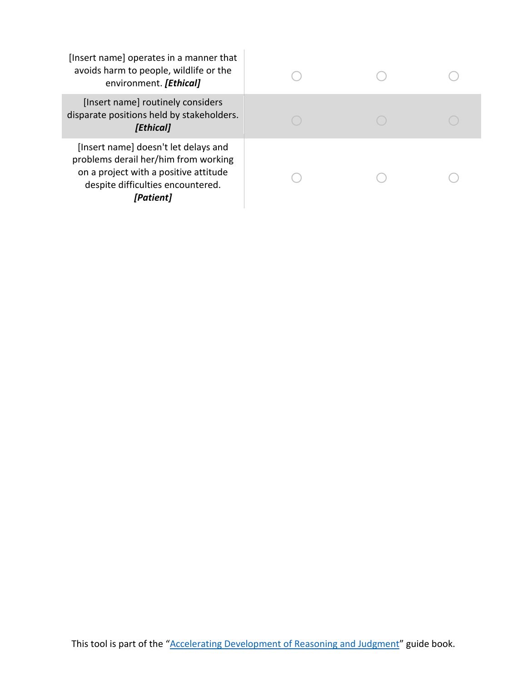| [Insert name] operates in a manner that<br>avoids harm to people, wildlife or the<br>environment. [Ethical]                                                             |  |  |
|-------------------------------------------------------------------------------------------------------------------------------------------------------------------------|--|--|
| [Insert name] routinely considers<br>disparate positions held by stakeholders.<br>[Ethical]                                                                             |  |  |
| [Insert name] doesn't let delays and<br>problems derail her/him from working<br>on a project with a positive attitude<br>despite difficulties encountered.<br>[Patient] |  |  |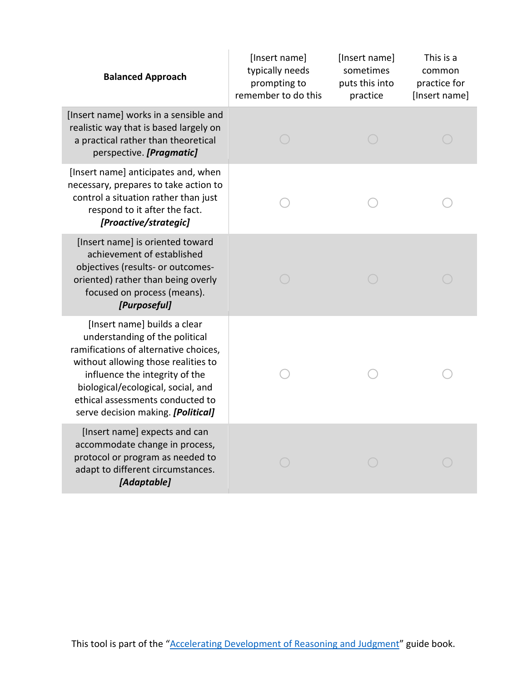| <b>Balanced Approach</b>                                                                                                                                                                                                                                                                         | [Insert name]<br>typically needs<br>prompting to<br>remember to do this | [Insert name]<br>sometimes<br>puts this into<br>practice | This is a<br>common<br>practice for<br>[Insert name] |
|--------------------------------------------------------------------------------------------------------------------------------------------------------------------------------------------------------------------------------------------------------------------------------------------------|-------------------------------------------------------------------------|----------------------------------------------------------|------------------------------------------------------|
| [Insert name] works in a sensible and<br>realistic way that is based largely on<br>a practical rather than theoretical<br>perspective. [Pragmatic]                                                                                                                                               |                                                                         |                                                          |                                                      |
| [Insert name] anticipates and, when<br>necessary, prepares to take action to<br>control a situation rather than just<br>respond to it after the fact.<br>[Proactive/strategic]                                                                                                                   |                                                                         |                                                          |                                                      |
| [Insert name] is oriented toward<br>achievement of established<br>objectives (results- or outcomes-<br>oriented) rather than being overly<br>focused on process (means).<br>[Purposeful]                                                                                                         |                                                                         |                                                          |                                                      |
| [Insert name] builds a clear<br>understanding of the political<br>ramifications of alternative choices,<br>without allowing those realities to<br>influence the integrity of the<br>biological/ecological, social, and<br>ethical assessments conducted to<br>serve decision making. [Political] |                                                                         |                                                          |                                                      |
| [Insert name] expects and can<br>accommodate change in process,<br>protocol or program as needed to<br>adapt to different circumstances.<br>[Adaptable]                                                                                                                                          |                                                                         |                                                          |                                                      |